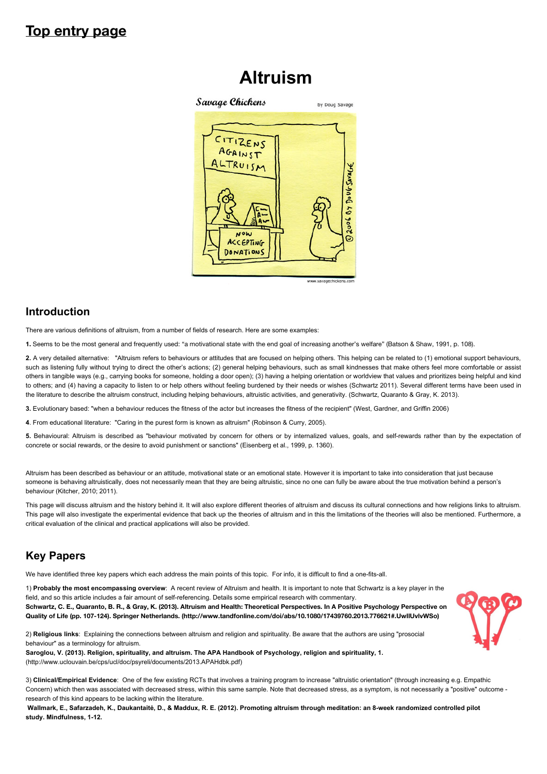# **Top entry page**

# **Altruism**



# **Introduction**

There are various definitions of altruism, from a number of fields of research. Here are some examples:

**1.** Seems to be the most general and frequently used: "a motivational state with the end goal of increasing another's welfare" (Batson & Shaw, 1991, p. 108).

**2.** A very detailed alternative: "Altruism refers to behaviours or attitudes that are focused on helping others. This helping can be related to (1) emotional support behaviours, such as listening fully without trying to direct the other's actions; (2) general helping behaviours, such as small kindnesses that make others feel more comfortable or assist others in tangible ways (e.g., carrying books for someone, holding a door open); (3) having a helping orientation or worldview that values and prioritizes being helpful and kind to others; and (4) having a capacity to listen to or help others without feeling burdened by their needs or wishes (Schwartz 2011). Several different terms have been used in the literature to describe the altruism construct, including helping behaviours, altruistic activities, and generativity. (Schwartz, Quaranto & Gray, K. 2013).

**3.** Evolutionary based: "when a behaviour reduces the fitness of the actor but increases the fitness of the recipient" (West, Gardner, and Griffin 2006)

**4**. From educational literature: "Caring in the purest form is known as altruism" (Robinson & Curry, 2005).

**5.** Behavioural: Altruism is described as "behaviour motivated by concern for others or by internalized values, goals, and self-rewards rather than by the expectation of concrete or social rewards, or the desire to avoid punishment or sanctions" (Eisenberg et al., 1999, p. 1360).

Altruism has been described as behaviour or an attitude, motivational state or an emotional state. However it is important to take into consideration that just because someone is behaving altruistically, does not necessarily mean that they are being altruistic, since no one can fully be aware about the true motivation behind a person's behaviour (Kitcher, 2010; 2011).

This page will discuss altruism and the history behind it. It will also explore different theories of altruism and discuss its cultural connections and how religions links to altruism. This page will also investigate the experimental evidence that back up the theories of altruism and in this the limitations of the theories will also be mentioned. Furthermore, a critical evaluation of the clinical and practical applications will also be provided.

# **Key Papers**

We have identified three key papers which each address the main points of this topic. For info, it is difficult to find a one-fits-all.

1) **Probably the most encompassing overview**: A recent review of Altruism and health. It is important to note that Schwartz is a key player in the field, and so this article includes a fair amount of self-referencing. Details some empirical research with commentary. **[Schwartz, C. E., Quaranto, B. R., & Gray, K. \(2013\). Altruism and Health: Theoretical Perspectives. In A Positive Psychology Perspective on](http://www.tandfonline.com/doi/abs/10.1080/17439760.2013.776621#.UwIlUvlvWSo) Quality of Life (pp. 107-124). Springer Netherlands. (http://www.tandfonline.com/doi/abs/10.1080/17439760.2013.776621#.UwIlUvlvWSo)**

2) **Religious links**: Explaining the connections between altruism and religion and spirituality. Be aware that the authors are using "prosocial behaviour" as a terminology for altruism. **[Saroglou, V. \(2013\). Religion, spirituality, and altruism. The APA Handbook of Psychology, religion and spirituality, 1.](http://www.uclouvain.be/cps/ucl/doc/psyreli/documents/2013.APAHdbk.pdf)**

(http://www.uclouvain.be/cps/ucl/doc/psyreli/documents/2013.APAHdbk.pdf)

3) **Clinical/Empirical Evidence**: One of the few existing RCTs that involves a training program to increase "altruistic orientation" (through increasing e.g. Empathic Concern) which then was associated with decreased stress, within this same sample. Note that decreased stress, as a symptom, is not necessarily a "positive" outcome research of this kind appears to be lacking within the literature.

**Wallmark, E., Safarzadeh, K., Daukantait![, D., & Maddux, R. E. \(2012\). Promoting altruism through meditation: an 8-week randomized controlled pilot](https://webspace.utexas.edu/neffk/pubs/altruism.pdf) study. Mindfulness, 1-12.**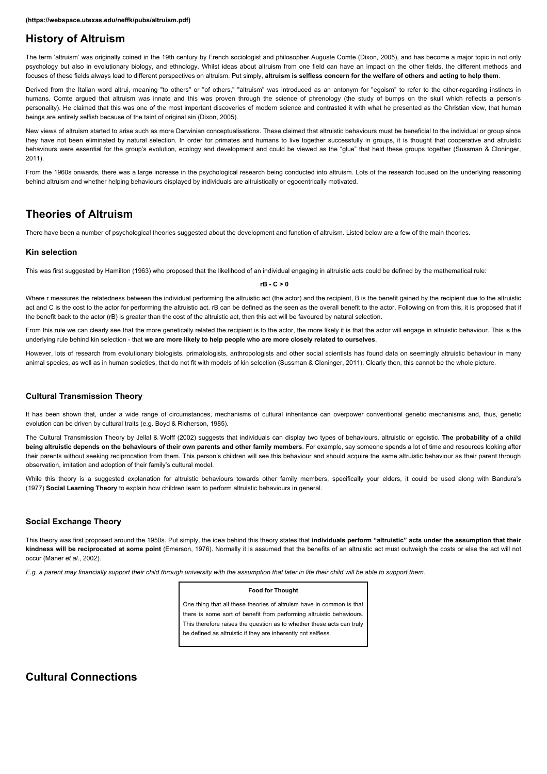# **History of Altruism**

The term 'altruism' was originally coined in the 19th century by French sociologist and philosopher Auguste Comte (Dixon, 2005), and has become a major topic in not only psychology but also in evolutionary biology, and ethnology. Whilst ideas about altruism from one field can have an impact on the other fields, the different methods and focuses of these fields always lead to different perspectives on altruism. Put simply, **altruism is selfless concern for the welfare of others and acting to help them**.

Derived from the Italian word altrui, meaning "to others" or "of others," "altruism" was introduced as an antonym for "egoism" to refer to the other-regarding instincts in humans. Comte argued that altruism was innate and this was proven through the science of phrenology (the study of bumps on the skull which reflects a person's personality). He claimed that this was one of the most important discoveries of modern science and contrasted it with what he presented as the Christian view, that human beings are entirely selfish because of the taint of original sin (Dixon, 2005).

New views of altruism started to arise such as more Darwinian conceptualisations. These claimed that altruistic behaviours must be beneficial to the individual or group since they have not been eliminated by natural selection. In order for primates and humans to live together successfully in groups, it is thought that cooperative and altruistic behaviours were essential for the group's evolution, ecology and development and could be viewed as the "glue" that held these groups together (Sussman & Cloninger, 2011).

From the 1960s onwards, there was a large increase in the psychological research being conducted into altruism. Lots of the research focused on the underlying reasoning behind altruism and whether helping behaviours displayed by individuals are altruistically or egocentrically motivated.

# **Theories of Altruism**

There have been a number of psychological theories suggested about the development and function of altruism. Listed below are a few of the main theories.

### **Kin selection**

This was first suggested by Hamilton (1963) who proposed that the likelihood of an individual engaging in altruistic acts could be defined by the mathematical rule:

#### **rB - C > 0**

Where r measures the relatedness between the individual performing the altruistic act (the actor) and the recipient, B is the benefit gained by the recipient due to the altruistic act and C is the cost to the actor for performing the altruistic act. rB can be defined as the seen as the overall benefit to the actor. Following on from this, it is proposed that if the benefit back to the actor (rB) is greater than the cost of the altruistic act, then this act will be favoured by natural selection.

From this rule we can clearly see that the more genetically related the recipient is to the actor, the more likely it is that the actor will engage in altruistic behaviour. This is the underlying rule behind kin selection - that **we are more likely to help people who are more closely related to ourselves**.

However, lots of research from evolutionary biologists, primatologists, anthropologists and other social scientists has found data on seemingly altruistic behaviour in many animal species, as well as in human societies, that do not fit with models of kin selection (Sussman & Cloninger, 2011). Clearly then, this cannot be the whole picture.

### **Cultural Transmission Theory**

It has been shown that, under a wide range of circumstances, mechanisms of cultural inheritance can overpower conventional genetic mechanisms and, thus, genetic evolution can be driven by cultural traits (e.g. Boyd & Richerson, 1985).

The Cultural Transmission Theory by Jellal & Wolff (2002) suggests that individuals can display two types of behaviours, altruistic or egoistic. **The probability of a child being altruistic depends on the behaviours of their own parents and other family members**. For example, say someone spends a lot of time and resources looking after their parents without seeking reciprocation from them. This person's children will see this behaviour and should acquire the same altruistic behaviour as their parent through observation, imitation and adoption of their family's cultural model.

While this theory is a suggested explanation for altruistic behaviours towards other family members, specifically your elders, it could be used along with Bandura's (1977) **Social Learning Theory** to explain how children learn to perform altruistic behaviours in general.

### **Social Exchange Theory**

This theory was first proposed around the 1950s. Put simply, the idea behind this theory states that **individuals perform "altruistic" acts under the assumption that their** kindness will be reciprocated at some point (Emerson, 1976). Normally it is assumed that the benefits of an altruistic act must outweigh the costs or else the act will not occur (Maner *et al.*, 2002).

*E.g. a parent may financially support their child through university with the assumption that later in life their child will be able to support them.*

#### **Food for Thought**

One thing that all these theories of altruism have in common is that there is some sort of benefit from performing altruistic behaviours. This therefore raises the question as to whether these acts can truly be defined as altruistic if they are inherently not selfless.

# **Cultural Connections**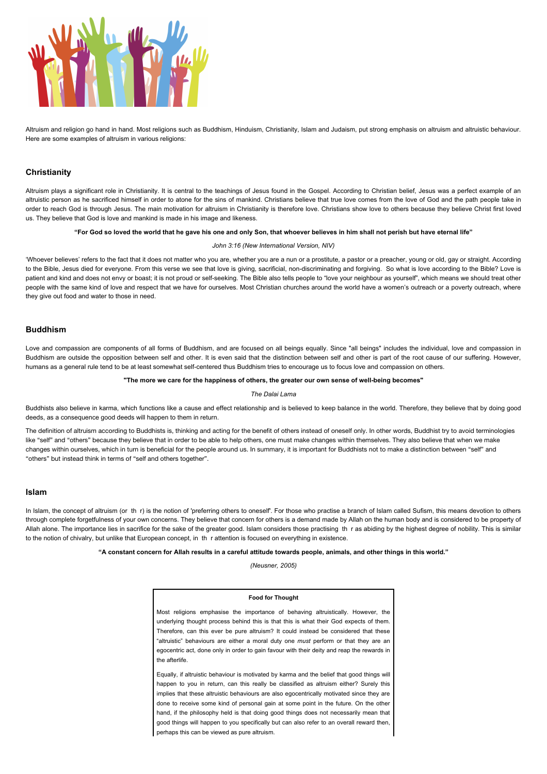

Altruism and religion go hand in hand. Most religions such as Buddhism, Hinduism, Christianity, Islam and Judaism, put strong emphasis on altruism and altruistic behaviour. Here are some examples of altruism in various religions:

### **Christianity**

Altruism plays a significant role in Christianity. It is central to the teachings of Jesus found in the Gospel. According to Christian belief, Jesus was a perfect example of an altruistic person as he sacrificed himself in order to atone for the sins of mankind. Christians believe that true love comes from the love of God and the path people take in order to reach God is through Jesus. The main motivation for altruism in Christianity is therefore love. Christians show love to others because they believe Christ first loved us. They believe that God is love and mankind is made in his image and likeness.

#### **"For God so loved the world that he gave his one and only Son, that whoever believes in him shall not perish but have eternal life"**

#### *John 3:16 (New International Version, NIV)*

'Whoever believes' refers to the fact that it does not matter who you are, whether you are a nun or a prostitute, a pastor or a preacher, young or old, gay or straight. According to the Bible, Jesus died for everyone. From this verse we see that love is giving, sacrificial, non-discriminating and forgiving. So what is love according to the Bible? Love is patient and kind and does not envy or boast; it is not proud or self-seeking. The Bible also tells people to "love your neighbour as yourself", which means we should treat other people with the same kind of love and respect that we have for ourselves. Most Christian churches around the world have a women's outreach or a poverty outreach, where they give out food and water to those in need.

### **Buddhism**

Love and compassion are components of all forms of Buddhism, and are focused on all beings equally. Since "all beings" includes the individual, love and compassion in Buddhism are outside the opposition between self and other. It is even said that the distinction between self and other is part of the root cause of our suffering. However, humans as a general rule tend to be at least somewhat self-centered thus Buddhism tries to encourage us to focus love and compassion on others.

#### **"The more we care for the happiness of others, the greater our own sense of well-being becomes"**

#### *The Dalai Lama*

Buddhists also believe in karma, which functions like a cause and effect relationship and is believed to keep balance in the world. Therefore, they believe that by doing good deeds, as a consequence good deeds will happen to them in return.

The definition of altruism according to Buddhists is, thinking and acting for the benefit of others instead of oneself only. In other words, Buddhist try to avoid terminologies like "self" and "others" because they believe that in order to be able to help others, one must make changes within themselves. They also believe that when we make changes within ourselves, which in turn is beneficial for the people around us. In summary, it is important for Buddhists not to make a distinction between "self" and "others" but instead think in terms of "self and others together".

#### **Islam**

In Islam, the concept of altruism (or th r) is the notion of 'preferring others to oneself'. For those who practise a branch of Islam called Sufism, this means devotion to others through complete forgetfulness of your own concerns. They believe that concern for others is a demand made by Allah on the human body and is considered to be property of Allah alone. The importance lies in sacrifice for the sake of the greater good. Islam considers those practising th r as abiding by the highest degree of nobility. This is similar to the notion of chivalry, but unlike that European concept, in th r attention is focused on everything in existence.

**"A constant concern for Allah results in a careful attitude towards people, animals, and other things in this world."**

*(Neusner, 2005)*

#### **Food for Thought**

Most religions emphasise the importance of behaving altruistically. However, the underlying thought process behind this is that this is what their God expects of them. Therefore, can this ever be pure altruism? It could instead be considered that these "altruistic" behaviours are either a moral duty one *must* perform or that they are an egocentric act, done only in order to gain favour with their deity and reap the rewards in the afterlife.

Equally, if altruistic behaviour is motivated by karma and the belief that good things will happen to you in return, can this really be classified as altruism either? Surely this implies that these altruistic behaviours are also egocentrically motivated since they are done to receive some kind of personal gain at some point in the future. On the other hand, if the philosophy held is that doing good things does not necessarily mean that good things will happen to you specifically but can also refer to an overall reward then, perhaps this can be viewed as pure altruism.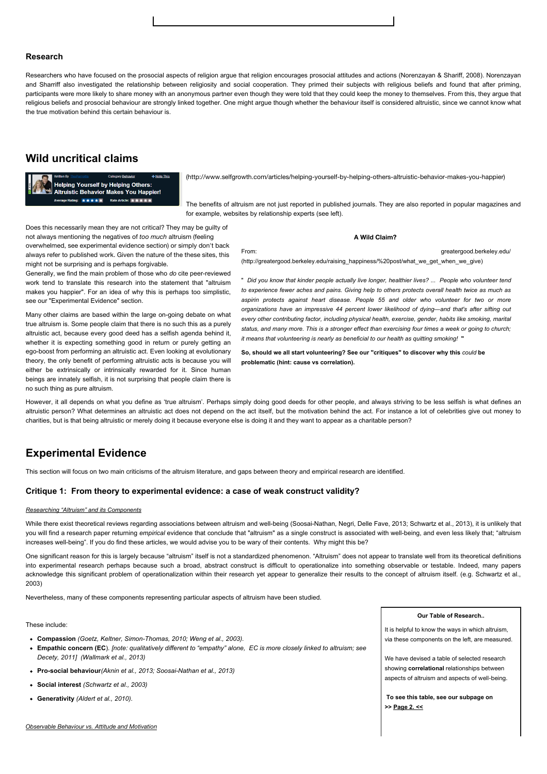### **Research**

Researchers who have focused on the prosocial aspects of religion argue that religion encourages prosocial attitudes and actions (Norenzayan & Shariff, 2008). Norenzayan and Sharriff also investigated the relationship between religiosity and social cooperation. They primed their subjects with religious beliefs and found that after priming, participants were more likely to share money with an anonymous partner even though they were told that they could keep the money to themselves. From this, they argue that religious beliefs and prosocial behaviour are strongly linked together. One might argue though whether the behaviour itself is considered altruistic, since we cannot know what the true motivation behind this certain behaviour is.

# **Wild uncritical claims**

**Helping Yourself by Helping Others:**<br>Altruistic Behavior Makes You Happier! rage Rating: ★★★★★ Rate Article: ★★★★★

(http://www.selfgrowth.com/articles/helping-yourself-by-helping-others-altruistic-behavior-makes-you-happier)

[The benefits of altruism are not just reported in published journals. They are also reported in popular magazines](http://www.selfgrowth.com/articles/helping-yourself-by-helping-others-altruistic-behavior-makes-you-happier) and for example, websites by relationship experts (see left).

Does this necessarily mean they are not critical? They may be guilty of not always mentioning the negatives of *too much* altruism (feeling overwhelmed, see experimental evidence section) or simply don't back always refer to published work. Given the nature of the these sites, this might not be surprising and is perhaps forgivable.

Generally, we find the main problem of those who *do* cite peer-reviewed work tend to translate this research into the statement that "altruism makes you happier". For an idea of why this is perhaps too simplistic, see our "Experimental Evidence" section.

Many other claims are based within the large on-going debate on what true altruism is. Some people claim that there is no such this as a purely altruistic act, because every good deed has a selfish agenda behind it, whether it is expecting something good in return or purely getting an ego-boost from performing an altruistic act. Even looking at evolutionary theory, the only benefit of performing altruistic acts is because you will either be extrinsically or intrinsically rewarded for it. Since human beings are innately selfish, it is not surprising that people claim there is no such thing as pure altruism.

**A Wild Claim?** 

[From: greatergood.berkeley.edu/](http://greatergood.berkeley.edu/raising_happiness/%20post/what_we_get_when_we_give) (http://greatergood.berkeley.edu/raising\_happiness/%20post/what\_we\_get\_when\_we\_give)

" *Did you know that kinder people actually live longer, healthier lives? ... People who volunteer tend to experience fewer aches and pains. Giving help to others protects overall health twice as much as aspirin protects against heart disease. People 55 and older who volunteer for two or more organizations have an impressive 44 percent lower likelihood of dying—and that's after sifting out every other contributing factor, including physical health, exercise, gender, habits like smoking, marital status, and many more. This is a stronger effect than exercising four times a week or going to church; it means that volunteering is nearly as beneficial to our health as quitting smoking!* **"**

**So, should we all start volunteering? See our "critiques" to discover why this** *could* **be problematic (hint: cause vs correlation).**

However, it all depends on what you define as 'true altruism'. Perhaps simply doing good deeds for other people, and always striving to be less selfish is what defines an altruistic person? What determines an altruistic act does not depend on the act itself, but the motivation behind the act. For instance a lot of celebrities give out money to charities, but is that being altruistic or merely doing it because everyone else is doing it and they want to appear as a charitable person?

# **Experimental Evidence**

This section will focus on two main criticisms of the altruism literature, and gaps between theory and empirical research are identified.

#### **Critique 1: From theory to experimental evidence: a case of weak construct validity?**

#### *Researching "Altruism" and its Components*

While there exist theoretical reviews regarding associations between altruism and well-being (Soosai-Nathan, Negri, Delle Fave, 2013; Schwartz et al., 2013), it is unlikely that you will find a research paper returning empirical evidence that conclude that "altruism" as a single construct is associated with well-being, and even less likely that; "altruism increases well-being". If you do find these articles, we would advise you to be wary of their contents. Why might this be?

One significant reason for this is largely because "altruism" itself is not a standardized phenomenon. "Altruism" does not appear to translate well from its theoretical definitions into experimental research perhaps because such a broad, abstract construct is difficult to operationalize into something observable or testable. Indeed, many papers acknowledge this significant problem of operationalization within their research yet appear to generalize their results to the concept of altruism itself. (e.g. Schwartz et al., 2003)

Nevertheless, many of these components representing particular aspects of altruism have been studied.

These include:

- **Compassion** *(Goetz, Keltner, Simon-Thomas, 2010; Weng et al., 2003).*
- **Empathic concern (EC**)*. [note: qualitatively different to "empathy" alone, EC is more closely linked to altruism; see Decety, 2011] (Wallmark et al., 2013)*
- **Pro-social behaviour***(Aknin et al., 2013; Soosai-Nathan et al., 2013)*
- **Social interest** *(Schwartz et al., 2003)*
- **Generativity** *(Aldert et al., 2010).*

*Observable Behaviour vs. Attitude and Motivation*

**Our Table of Research..**

It is helpful to know the ways in which altruism, via these components on the left, are measured.

We have devised a table of selected research showing **correlational** relationships between aspects of altruism and aspects of well-being.

 **To see this table, see our subpage on >> [Page 2.](http://moodle2.gla.ac.uk/mod/wiki/prettyview.php?pageid=1905#) <<**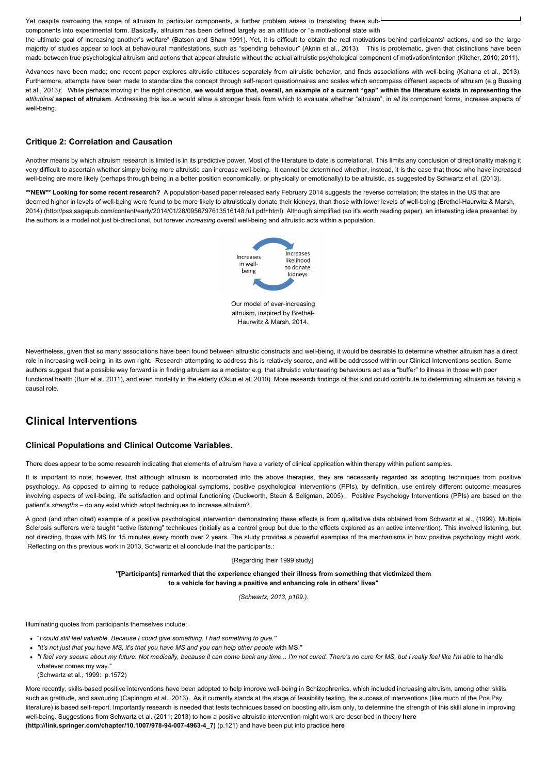Yet despite narrowing the scope of altruism to particular components, a further problem arises in translating these subcomponents into experimental form. Basically, altruism has been defined largely as an attitude or "a motivational state with the ultimate goal of increasing another's welfare" (Batson and Shaw 1991). Yet, it is difficult to obtain the real motivations behind participants' actions, and so the large

majority of studies appear to look at behavioural manifestations, such as "spending behaviour" (Aknin et al., 2013). This is problematic, given that distinctions have been made between true psychological altruism and actions that appear altruistic without the actual altruistic psychological component of motivation/intention (Kitcher, 2010; 2011).

Advances have been made; one recent paper explores altruistic attitudes separately from altruistic behavior, and finds associations with well-being (Kahana et al., 2013). Furthermore, attempts have been made to standardize the concept through self-report questionnaires and scales which encompass different aspects of altruism (e.g Bussing et al., 2013); While perhaps moving in the right direction, **we would argue that, overall, an example of a current "gap" within the literature exists in representing the** *attitudinal* **aspect of altruism**. Addressing this issue would allow a stronger basis from which to evaluate whether "altruism", in *all* its component forms, increase aspects of well-being.

### **Critique 2: Correlation and Causation**

Another means by which altruism research is limited is in its predictive power. Most of the literature to date is correlational. This limits any conclusion of directionality making it very difficult to ascertain whether simply being more altruistic can increase well-being. It cannot be determined whether, instead, it is the case that those who have increased well-being are more likely (perhaps through being in a better position economically, or physically or emotionally) to be altruistic, as suggested by Schwartz et al. (2013).

\*\*NEW\*\* Looking for some recent research? A population-based paper released early February 2014 suggests the reverse correlation; the states in the US that are deemed higher in levels of well-being were found to be more likely to altruistically donate their kidneys, than those with lower levels of well-being (Brethel-Haurwitz & Marsh, [2014\) \(http://pss.sagepub.com/content/early/2014/01/28/0956797613516148.full.pdf+html\). Although simplified \(so it's worth reading paper\), an interesting idea presented by](http://pss.sagepub.com/content/early/2014/01/28/0956797613516148.full.pdf+html) the authors is a model not just bi-directional, but forever *increasing* overall well-being and altruistic acts within a population.



Nevertheless, given that so many associations have been found between altruistic constructs and well-being, it would be desirable to determine whether altruism has a direct role in increasing well-being, in its own right. Research attempting to address this is relatively scarce, and will be addressed within our Clinical Interventions section. Some authors suggest that a possible way forward is in finding altruism as a mediator e.g. that altruistic volunteering behaviours act as a "buffer" to illness in those with poor functional health (Burr et al. 2011), and even mortality in the elderly (Okun et al. 2010). More research findings of this kind could contribute to determining altruism as having a causal role.

# **Clinical Interventions**

### **Clinical Populations and Clinical Outcome Variables.**

There does appear to be some research indicating that elements of altruism have a variety of clinical application within therapy within patient samples.

It is important to note, however, that although altruism is incorporated into the above therapies, they are necessarily regarded as adopting techniques from positive psychology. As opposed to aiming to reduce pathological symptoms, positive psychological interventions (PPIs), by definition, use entirely different outcome measures involving aspects of well-being, life satisfaction and optimal functioning (Duckworth, Steen & Seligman, 2005) . Positive Psychology Interventions (PPIs) are based on the patient's *strengths* – do any exist which adopt techniques to increase altruism?

A good (and often cited) example of a positive psychological intervention demonstrating these effects is from qualitative data obtained from Schwartz et al., (1999). Multiple Sclerosis sufferers were taught "active listening" techniques (initially as a control group but due to the effects explored as an active intervention). This involved listening, but not directing, those with MS for 15 minutes every month over 2 years. The study provides a powerful examples of the mechanisms in how positive psychology might work. Reflecting on this previous work in 2013, Schwartz et al conclude that the participants.:

### [Regarding their 1999 study]

**"[Participants] remarked that the experience changed their illness from something that victimized them to a vehicle for having a positive and enhancing role in others' lives"**

*(Schwartz, 2013, p109.).*

Illuminating quotes from participants themselves include:

- "*I could still feel valuable. Because I could give something. I had something to give.''*
- *"It's not just that you have MS, it's that you have MS and you can help other people w*ith MS.''
- *"I feel very secure about my future. Not medically, because it can come back any time... I'm not cured. There's no cure for MS, but I really feel like I'm ab*le to handle whatever comes my way."
- (Schwartz et al., 1999: p.1572)

More recently, skills-based positive interventions have been adopted to help improve well-being in Schizophrenics, which included increasing altruism, among other skills such as gratitude, and savouring (Capinogro et al., 2013). As it currently stands at the stage of feasibility testing, the success of interventions (like much of the Pos Psy literature) is based self-report. Importantly research is needed that tests techniques based on boosting altruism only, to determine the strength of this skill alone in improving [well-being. Suggestions from Schwartz et al. \(2011; 2013\) to how a positive altruistic intervention might work are described in theory](http://link.springer.com/chapter/10.1007/978-94-007-4963-4_7) **here [\(http://link.springer.com/chapter/10.1007/978-94-007-4963-4\\_7\)](http://www.tandfonline.com/doi/abs/10.1080/17439760.2013.776621#.UwIlUvlvWSo)** (p.121) and have been put into practice **here**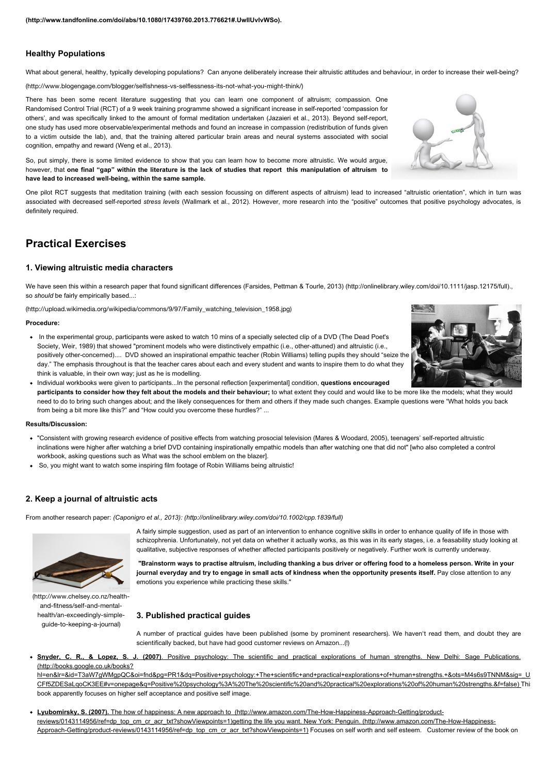## **Healthy Populations**

What about general, healthy, typically developing populations? Can anyone deliberately increase their altruistic attitudes and behaviour, in order to increase their well-being?

(http://www.blogengage.com/blogger/selfishness-vs-selflessness-its-not-what-you-might-think/)

There has been some recent literature suggesting that you can learn one component of altruism; compassion. One Randomised Control Trial (RCT) of a 9 week training programme showed a significant increase in self-reported 'compassion for [others', and was specifically linked to the amount of formal meditation undertaken \(Jazaieri et al., 2013\). Beyond self-report,](http://www.blogengage.com/blogger/selfishness-vs-selflessness-its-not-what-you-might-think/) one study has used more observable/experimental methods and found an increase in compassion (redistribution of funds given to a victim outside the lab), and, that the training altered particular brain areas and neural systems associated with social cognition, empathy and reward (Weng et al., 2013).

So, put simply, there is some limited evidence to show that you can learn how to become more altruistic. We would argue, however, that **one final "gap" within the literature is the lack of studies that report this manipulation of altruism to have lead to increased well-being, within the same sample.** 

One pilot RCT suggests that meditation training (with each session focussing on different aspects of altruism) lead to increased "altruistic orientation", which in turn was associated with decreased self-reported *stress levels* (Wallmark et al., 2012). However, more research into the "positive" outcomes that positive psychology advocates, is definitely required.

# **Practical Exercises**

### **1. Viewing altruistic media characters**

We have seen this within a research paper that found significant differences [\(Farsides, Pettman & Tourle, 2013\) \(http://onlinelibrary.wiley.com/doi/10.1111/jasp.12175/full\)](http://onlinelibrary.wiley.com/doi/10.1111/jasp.12175/full)., so *should* be fairly empirically based...:

(http://upload.wikimedia.org/wikipedia/commons/9/97/Family\_watching\_television\_1958.jpg)

#### **Procedure:**

- In the experimental group, participants were asked to watch 10 mins of a specially selected clip of a DVD (The Dead Poet's Society, Weir, 1989) that showed "prominent models who were distinctively empathic (i.e., other-attuned) and altruistic (i.e., [positively other-concerned\).... DVD showed an inspirational empathic teacher \(Robin Williams\) telling pupils they should "seize the](http://upload.wikimedia.org/wikipedia/commons/9/97/Family_watching_television_1958.jpg) day." The emphasis throughout is that the teacher cares about each and every student and wants to inspire them to do what they think is valuable, in their own way; just as he is modelling.
- Individual workbooks were given to participants...In the personal reflection [experimental] condition, **questions encouraged participants to consider how they felt about the models and their behaviour;** to what extent they could and would like to be more like the models; what they would need to do to bring such changes about; and the likely consequences for them and others if they made such changes. Example questions were "What holds you back from being a bit more like this?" and "How could you overcome these hurdles?" ...

#### **Results/Discussion:**

- "Consistent with growing research evidence of positive effects from watching prosocial television (Mares & Woodard, 2005), teenagers' self-reported altruistic inclinations were higher after watching a brief DVD containing inspirationally empathic models than after watching one that did not" [who also completed a control workbook, asking questions such as What was the school emblem on the blazer].
- So, you might want to watch some inspiring film footage of Robin Williams being altruistic!

# **2. Keep a journal of altruistic acts**

From another research paper: *[\(Caponigro et al., 2013\): \(http://onlinelibrary.wiley.com/doi/10.1002/cpp.1839/full\)](http://onlinelibrary.wiley.com/doi/10.1002/cpp.1839/full)*



[\(http://www.chelsey.co.nz/health](http://www.chelsey.co.nz/health-and-fitness/self-and-mental-health/an-exceedingly-simple-guide-to-keeping-a-journal)and-fitness/self-and-mentalhealth/an-exceedingly-simpleguide-to-keeping-a-journal)

A fairly simple suggestion, used as part of an intervention to enhance cognitive skills in order to enhance quality of life in those with schizophrenia. Unfortunately, not yet data on whether it actually works, as this was in its early stages, i.e. a feasability study looking at qualitative, subjective responses of whether affected participants positively or negatively. Further work is currently underway.

**"Brainstorm ways to practise altruism, including thanking a bus driver or offering food to a homeless person. Write in your journal everyday and try to engage in small acts of kindness when the opportunity presents itself.** Pay close attention to any emotions you experience while practicing these skills."

### **3. Published practical guides**

A number of practical guides have been published (some by prominent researchers). We haven't read them, and doubt they are scientifically backed, but have had good customer reviews on Amazon...(!)

**Snyder, C. R., & Lopez, S. J. (2007)**. Positive psychology: The scientific and practical explorations of human strengths. New Delhi: Sage Publications. (http://books.google.co.uk/books?

hl=en&lr=&id=T3aW7qWMgpQC&oi=fnd&pg=PR1&dg=Positive+psychology:+The+scientific+and+practical+explorations+of+human+strengths.+&ots=M4s6s9TNNM&sig=\_U CFf5ZDESaLqoCK3EE#v=onepage&q=Positive%20psychology%3A%20The%20scientific%20and%20practical%20explorations%20of%20human%20strengths.&f=false) This book apparently focuses on higher self acceptance and positive self image.

**Lyubomirsky, S. (2007).** The how of happiness: A new approach to (http://www.amazon.com/The-How-Happiness-Approach-Getting/product[reviews/0143114956/ref=dp\\_top\\_cm\\_cr\\_acr\\_txt?showViewpoints=1\)getting the life you want. New York: Penguin. \(http://www.amazon.com/The-How-Happiness-](http://www.amazon.com/The-How-Happiness-Approach-Getting/product-reviews/0143114956/ref=dp_top_cm_cr_acr_txt?showViewpoints=1)Approach-Getting/product-reviews/0143114956/ref=dp\_top\_cm\_cr\_acr\_txt?showViewpoints=1) Focuses on self worth and self esteem. Customer review of the book on